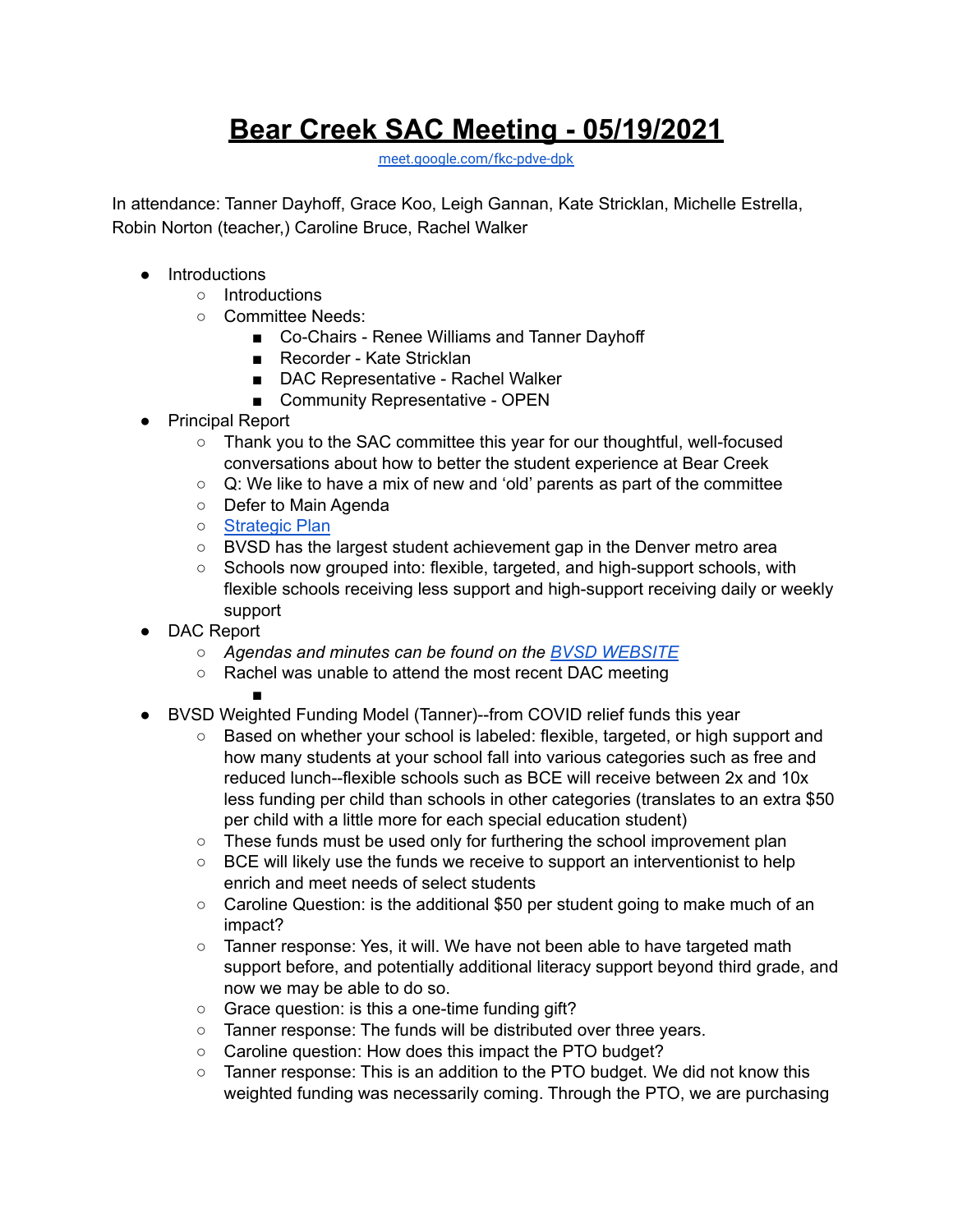## **Bear Creek SAC Meeting - 05/19/2021**

[meet.google.com/fkc-pdve-dpk](http://meet.google.com/fkc-pdve-dpk)

In attendance: Tanner Dayhoff, Grace Koo, Leigh Gannan, Kate Stricklan, Michelle Estrella, Robin Norton (teacher,) Caroline Bruce, Rachel Walker

- Introductions
	- Introductions
	- Committee Needs:
		- Co-Chairs Renee Williams and Tanner Dayhoff
		- Recorder Kate Stricklan
		- DAC Representative Rachel Walker
		- Community Representative OPEN
- Principal Report

○ Thank you to the SAC committee this year for our thoughtful, well-focused conversations about how to better the student experience at Bear Creek

- $\circ$  Q: We like to have a mix of new and 'old' parents as part of the committee
- Defer to Main Agenda
- [Strategic](https://www.bvsd.org/about/strategic-plan) Plan
- BVSD has the largest student achievement gap in the Denver metro area
- Schools now grouped into: flexible, targeted, and high-support schools, with flexible schools receiving less support and high-support receiving daily or weekly support
- DAC Report
	- *○ Agendas and minutes can be found on the BVSD [WEBSITE](https://www.bvsd.org/about/district-accountability-committee)*
	- Rachel was unable to attend the most recent DAC meeting ■

- BVSD Weighted Funding Model (Tanner)--from COVID relief funds this year
	- Based on whether your school is labeled: flexible, targeted, or high support and how many students at your school fall into various categories such as free and reduced lunch--flexible schools such as BCE will receive between 2x and 10x less funding per child than schools in other categories (translates to an extra \$50 per child with a little more for each special education student)
	- These funds must be used only for furthering the school improvement plan
	- $\circ$  BCE will likely use the funds we receive to support an interventionist to help enrich and meet needs of select students
	- $\circ$  Caroline Question: is the additional \$50 per student going to make much of an impact?
	- Tanner response: Yes, it will. We have not been able to have targeted math support before, and potentially additional literacy support beyond third grade, and now we may be able to do so.
	- Grace question: is this a one-time funding gift?
	- Tanner response: The funds will be distributed over three years.
	- Caroline question: How does this impact the PTO budget?
	- Tanner response: This is an addition to the PTO budget. We did not know this weighted funding was necessarily coming. Through the PTO, we are purchasing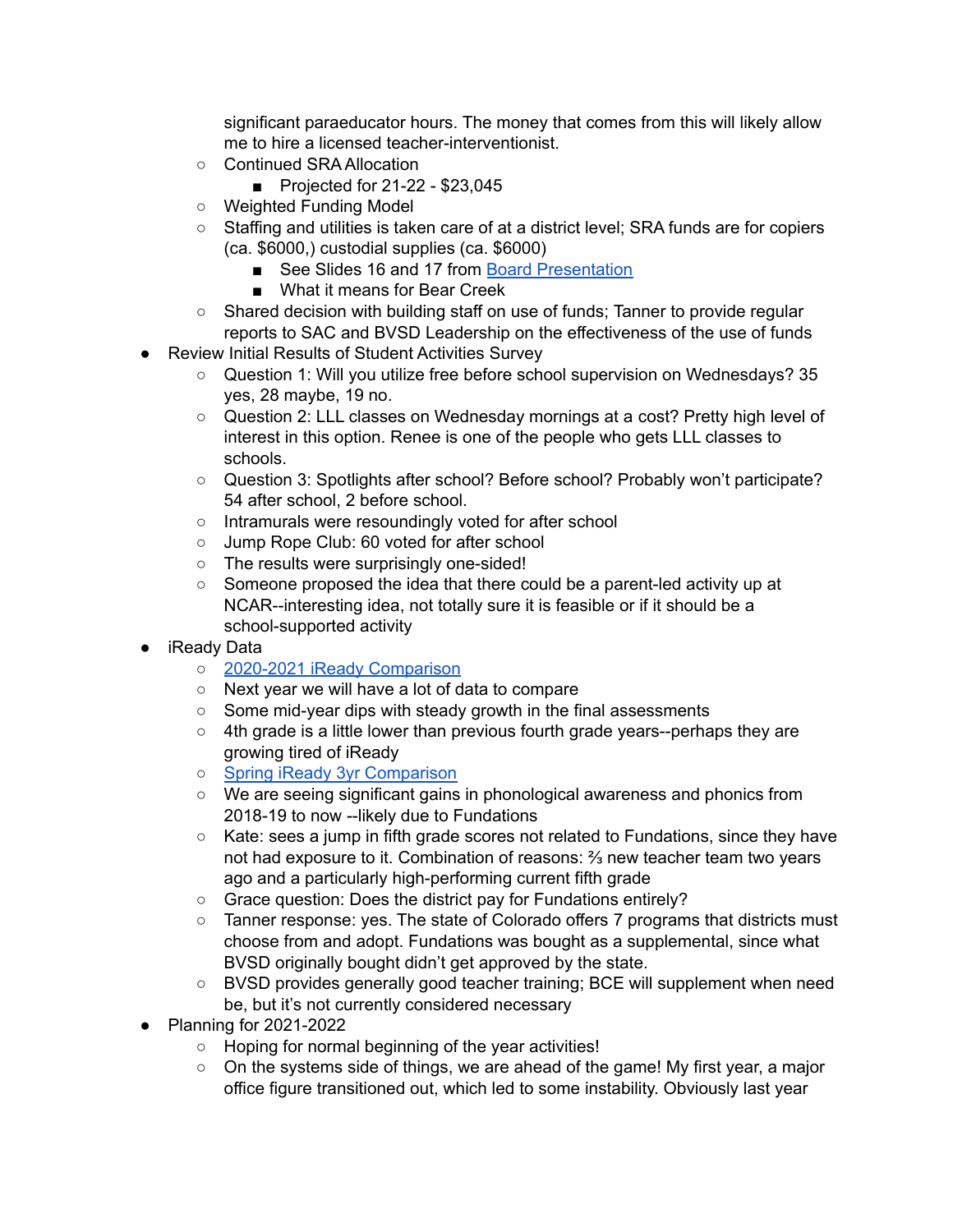significant paraeducator hours. The money that comes from this will likely allow me to hire a licensed teacher-interventionist.

- Continued SRA Allocation
	- Projected for 21-22 \$23,045
- Weighted Funding Model
- Staffing and utilities is taken care of at a district level; SRA funds are for copiers (ca. \$6000,) custodial supplies (ca. \$6000)
	- See Slides 16 and 17 from Board [Presentation](https://go.boarddocs.com/co/bvsd/Board.nsf/files/C2WVVU82A195/$file/2021-22%20Preliminary%20Budget%20Update%20-%2005-11-21.pdf)
	- What it means for Bear Creek
- Shared decision with building staff on use of funds; Tanner to provide regular reports to SAC and BVSD Leadership on the effectiveness of the use of funds
- Review Initial Results of Student Activities Survey
	- Question 1: Will you utilize free before school supervision on Wednesdays? 35 yes, 28 maybe, 19 no.
	- Question 2: LLL classes on Wednesday mornings at a cost? Pretty high level of interest in this option. Renee is one of the people who gets LLL classes to schools.
	- Question 3: Spotlights after school? Before school? Probably won't participate? 54 after school, 2 before school.
	- Intramurals were resoundingly voted for after school
	- Jump Rope Club: 60 voted for after school
	- The results were surprisingly one-sided!
	- Someone proposed the idea that there could be a parent-led activity up at NCAR--interesting idea, not totally sure it is feasible or if it should be a school-supported activity
- iReady Data
	- 2020-2021 iReady [Comparison](https://drive.google.com/file/d/1BTeJLLTFl_yxPdyKxtyHLbEtaIVW6rl3/view?usp=sharing)
	- Next year we will have a lot of data to compare
	- Some mid-year dips with steady growth in the final assessments
	- 4th grade is a little lower than previous fourth grade years--perhaps they are growing tired of iReady
	- Spring iReady 3yr [Comparison](https://drive.google.com/file/d/1BM1fSg_v5MHShnpuo-c_aRojBoaRwB9K/view?usp=sharing)
	- We are seeing significant gains in phonological awareness and phonics from 2018-19 to now --likely due to Fundations
	- Kate: sees a jump in fifth grade scores not related to Fundations, since they have not had exposure to it. Combination of reasons: ⅔ new teacher team two years ago and a particularly high-performing current fifth grade
	- Grace question: Does the district pay for Fundations entirely?
	- Tanner response: yes. The state of Colorado offers 7 programs that districts must choose from and adopt. Fundations was bought as a supplemental, since what BVSD originally bought didn't get approved by the state.
	- BVSD provides generally good teacher training; BCE will supplement when need be, but it's not currently considered necessary
- Planning for 2021-2022
	- Hoping for normal beginning of the year activities!
	- On the systems side of things, we are ahead of the game! My first year, a major office figure transitioned out, which led to some instability. Obviously last year